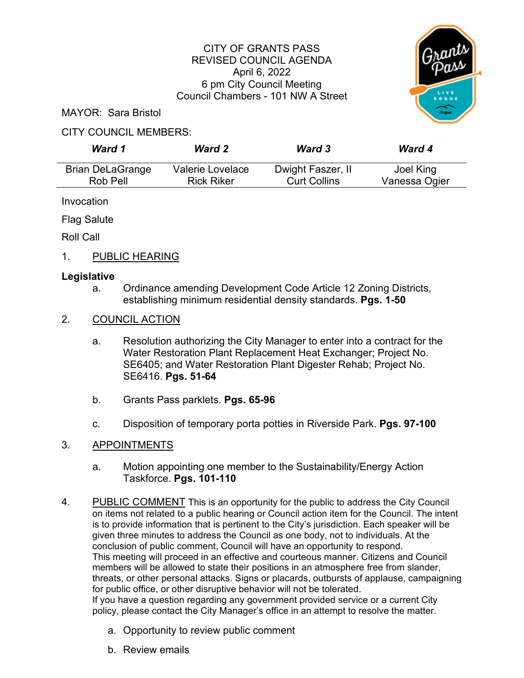## CITY OF GRANTS PASS REVISED COUNCIL AGENDA April 6, 2022 6 pm City Council Meeting Council Chambers - 101 NW A Street



MAYOR: Sara Bristol

#### CITY COUNCIL MEMBERS:

| Ward 1                  | <b>Ward 2</b>     | <b>Ward 3</b>       | <b>Ward 4</b> |
|-------------------------|-------------------|---------------------|---------------|
| <b>Brian DeLaGrange</b> | Valerie Lovelace  | Dwight Faszer, II   | Joel King     |
| Rob Pell                | <b>Rick Riker</b> | <b>Curt Collins</b> | Vanessa Ogier |

Invocation

Flag Salute

Roll Call

1. PUBLIC HEARING

## **Legislative**

a. Ordinance amending Development Code Article 12 Zoning Districts, establishing minimum residential density standards. **Pgs. 1-50**

## 2. COUNCIL ACTION

- a. Resolution authorizing the City Manager to enter into a contract for the Water Restoration Plant Replacement Heat Exchanger; Project No. SE6405; and Water Restoration Plant Digester Rehab; Project No. SE6416. **Pgs. 51-64**
- b. Grants Pass parklets. **Pgs. 65-96**
- c. Disposition of temporary porta potties in Riverside Park. **Pgs. 97-100**

# 3. APPOINTMENTS

- a. Motion appointing one member to the Sustainability/Energy Action Taskforce. **Pgs. 101-110**
- 4. PUBLIC COMMENT This is an opportunity for the public to address the City Council on items not related to a public hearing or Council action item for the Council. The intent is to provide information that is pertinent to the City's jurisdiction. Each speaker will be given three minutes to address the Council as one body, not to individuals. At the conclusion of public comment, Council will have an opportunity to respond. This meeting will proceed in an effective and courteous manner. Citizens and Council members will be allowed to state their positions in an atmosphere free from slander, threats, or other personal attacks. Signs or placards, outbursts of applause, campaigning for public office, or other disruptive behavior will not be tolerated. If you have a question regarding any government provided service or a current City policy, please contact the City Manager's office in an attempt to resolve the matter.
	- a. Opportunity to review public comment
	- b. Review emails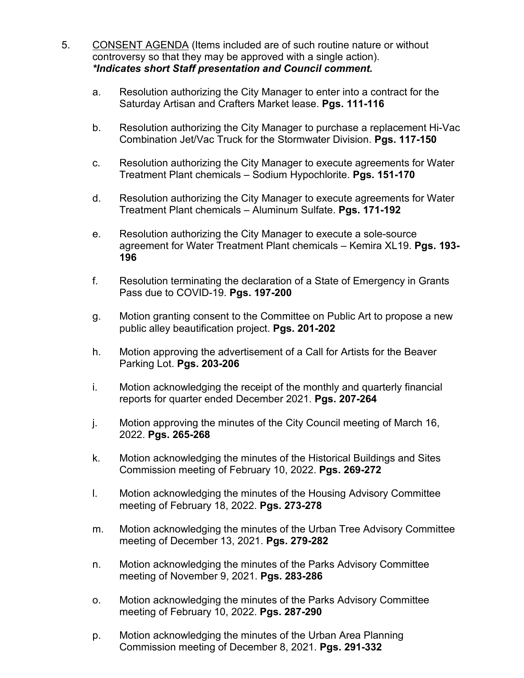- 5. CONSENT AGENDA (Items included are of such routine nature or without controversy so that they may be approved with a single action). *\*Indicates short Staff presentation and Council comment.*
	- a. Resolution authorizing the City Manager to enter into a contract for the Saturday Artisan and Crafters Market lease. **Pgs. 111-116**
	- b. Resolution authorizing the City Manager to purchase a replacement Hi-Vac Combination Jet/Vac Truck for the Stormwater Division. **Pgs. 117-150**
	- c. Resolution authorizing the City Manager to execute agreements for Water Treatment Plant chemicals – Sodium Hypochlorite. **Pgs. 151-170**
	- d. Resolution authorizing the City Manager to execute agreements for Water Treatment Plant chemicals – Aluminum Sulfate. **Pgs. 171-192**
	- e. Resolution authorizing the City Manager to execute a sole-source agreement for Water Treatment Plant chemicals – Kemira XL19. **Pgs. 193- 196**
	- f. Resolution terminating the declaration of a State of Emergency in Grants Pass due to COVID-19. **Pgs. 197-200**
	- g. Motion granting consent to the Committee on Public Art to propose a new public alley beautification project. **Pgs. 201-202**
	- h. Motion approving the advertisement of a Call for Artists for the Beaver Parking Lot. **Pgs. 203-206**
	- i. Motion acknowledging the receipt of the monthly and quarterly financial reports for quarter ended December 2021. **Pgs. 207-264**
	- j. Motion approving the minutes of the City Council meeting of March 16, 2022. **Pgs. 265-268**
	- k. Motion acknowledging the minutes of the Historical Buildings and Sites Commission meeting of February 10, 2022. **Pgs. 269-272**
	- l. Motion acknowledging the minutes of the Housing Advisory Committee meeting of February 18, 2022. **Pgs. 273-278**
	- m. Motion acknowledging the minutes of the Urban Tree Advisory Committee meeting of December 13, 2021. **Pgs. 279-282**
	- n. Motion acknowledging the minutes of the Parks Advisory Committee meeting of November 9, 2021. **Pgs. 283-286**
	- o. Motion acknowledging the minutes of the Parks Advisory Committee meeting of February 10, 2022. **Pgs. 287-290**
	- p. Motion acknowledging the minutes of the Urban Area Planning Commission meeting of December 8, 2021. **Pgs. 291-332**